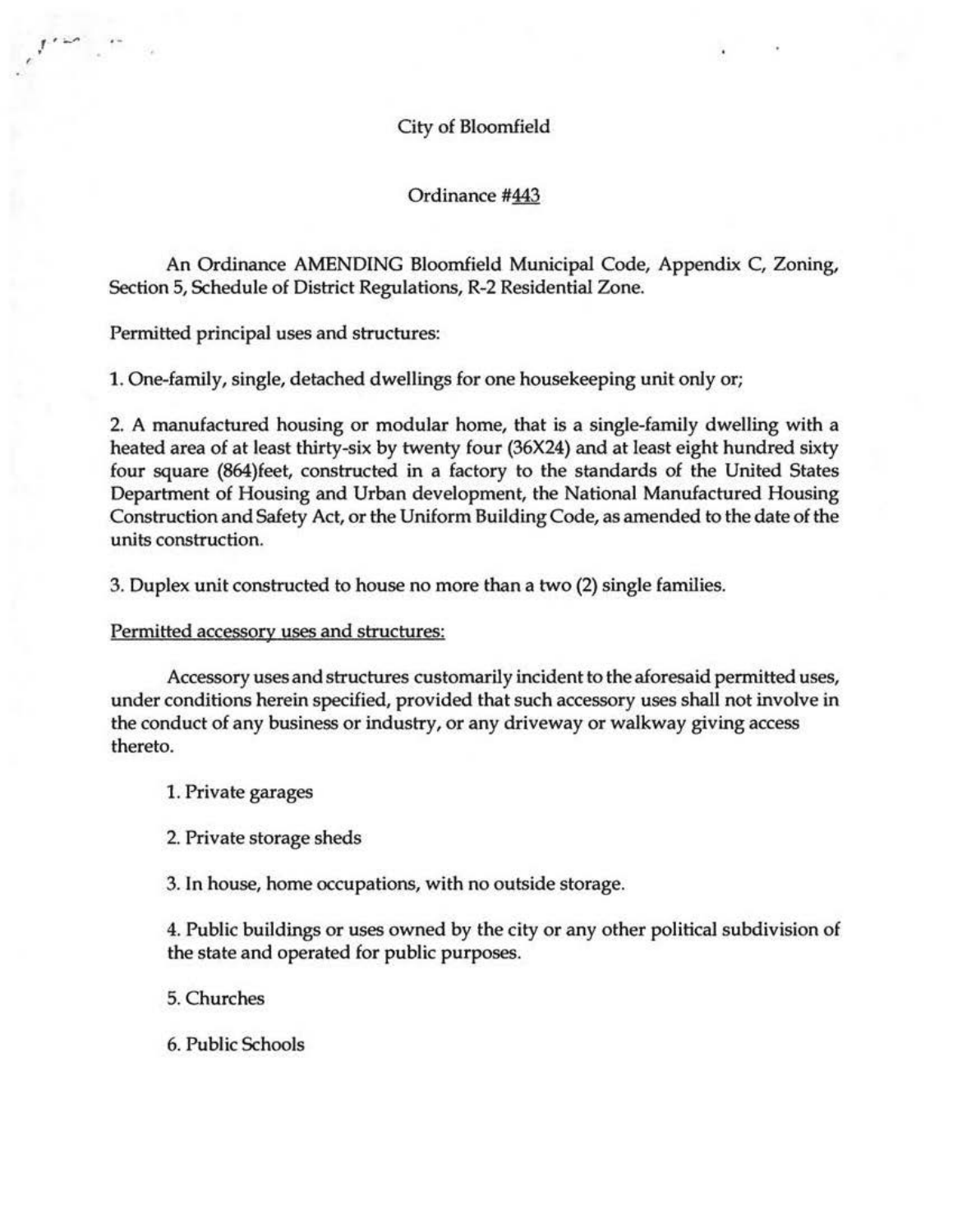# City of Bloomfield

### Ordinance #443

An Ordinance AMENDING Bloomfield Municipal Code, Appendix C, Zoning, Section 5, Schedule of District Regulations, R-2 Residential Zone.

Permitted principal uses and structures:

,

1. One-family, single, detached dwellings for one housekeeping unit only or;

2. A manufactured housing or modular home, that is a single-family dwelling with a heated area of at least thirty-six by twenty four (36X24) and at least eight hundred sixty four square (864)feet, constructed in a factory to the standards of the United States Department of Housing and Urban development, the National Manufactured Housing Construction and Safety Act, or the Uniform Building Code, as amended to the date of the units construction.

3. Duplex unit constructed to house no more than a two (2) single families.

#### Permitted accessory uses and structures:

Accessory uses and structures customarily incident to the aforesaid permitted uses, under conditions herein specified, provided that such accessory uses shall not involve in the conduct of any business or industry, or any driveway or walkway giving access thereto.

1. Private garages

2. Private storage sheds

3. In house, home occupations, with no outside storage.

4. Public buildings or uses owned by the city or any other political subdivision of the state and operated for public purposes.

5. Churches

6. Public Schools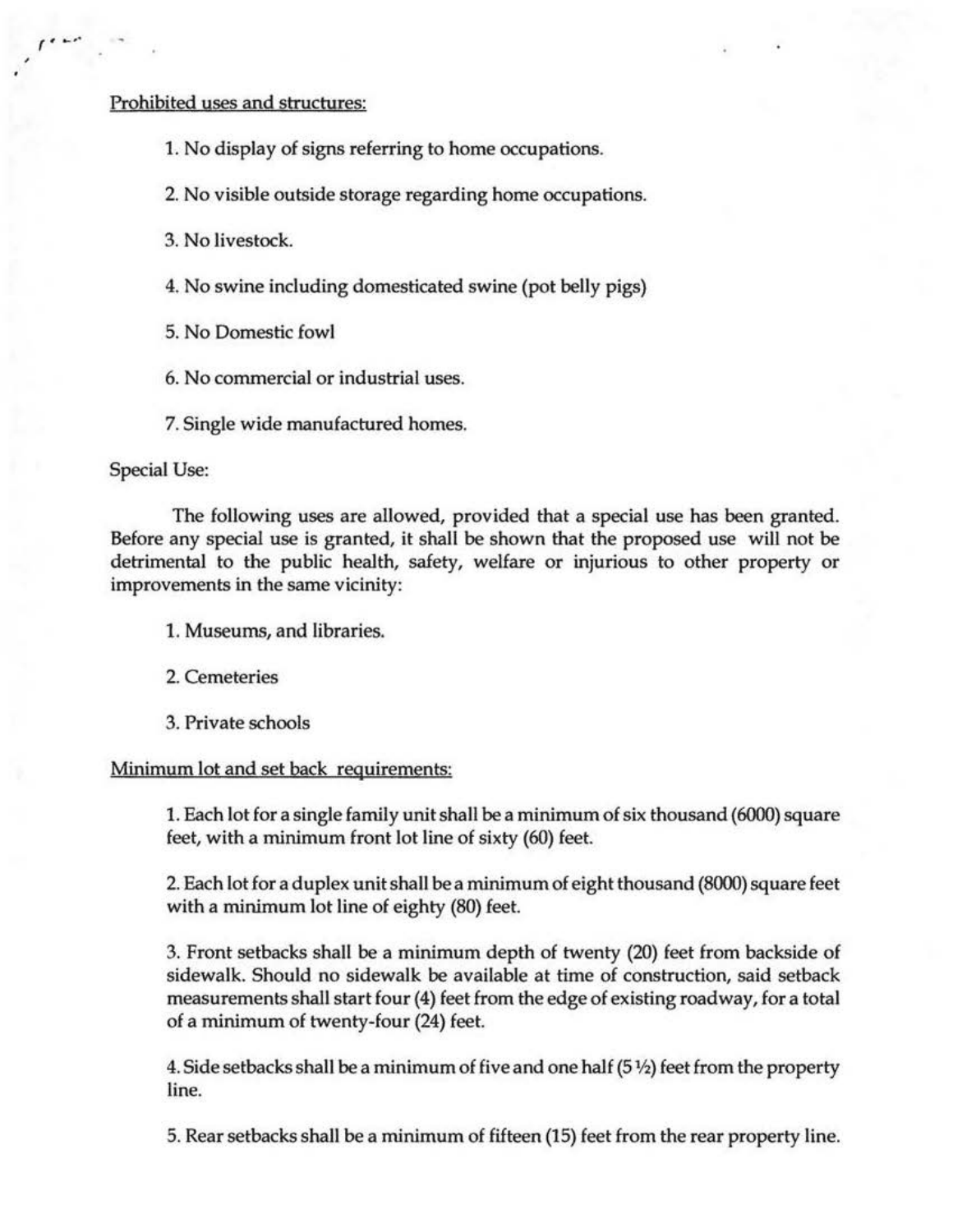## Prohibited uses and structures:

1. No display of signs referring to home occupations.

2. No visible outside storage regarding home occupations.

3. No livestock.

4. No swine including domesticated swine (pot belly pigs)

5. No Domestic fowl

6. No commercial or industrial uses.

7. Single wide manufactured homes.

Special Use:

 $r \cdot r$ 

'

The following uses are allowed, provided that a special use has been granted. Before any special use is granted, it shall be shown that the proposed use will not be detrimental to the public health, safety, welfare or injurious to other property or improvements in the same vicinity:

1. Museums, and libraries.

2. Cemeteries

3. Private schools

Minimum lot and set back requirements:

1. Each lot for a single family unit shall be a minimum of six thousand (6000) square feet, with a minimum front lot line of sixty (60) feet.

2. Each lot for a duplex unit shall be a minimum of eight thousand (8000) square feet with a minimum lot line of eighty (80) feet.

3. Front setbacks shall be a minimum depth of twenty (20) feet from backside of sidewalk. Should no sidewalk be available at time of construction, said setback measurements shall start four (4) feet from the edge of existing roadway, for a total of a minimum of twenty-four (24) feet.

4. Side setbacks shall be a minimum of five and one half  $(5\frac{1}{2})$  feet from the property line.

5. Rear setbacks shall be a minimum of fifteen (15) feet from the rear property line.